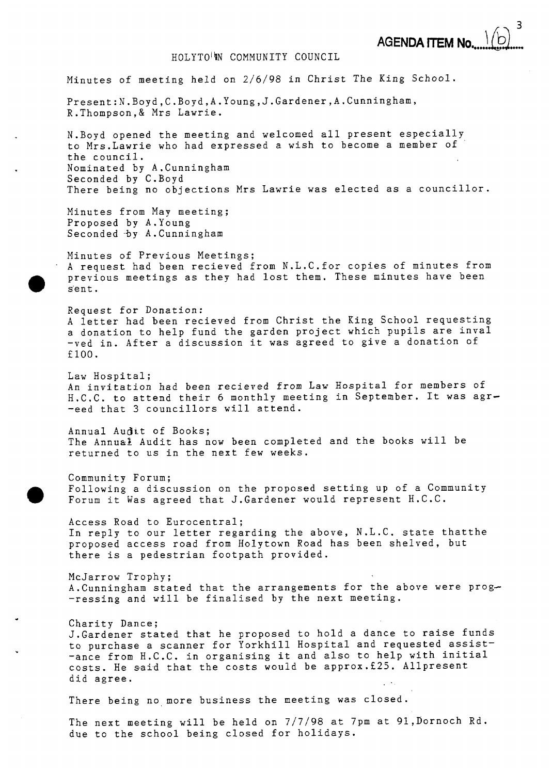**3** 

**AGENDA ITEM No...** HOLYTO<sup>IN</sup>N COMMUNITY COUNCIL Minutes of meeting held on *2/6/98* in Christ The King School. **Present:N.Boyd,C.Boyd,A.Young,J.Gardener,A.Cunningham,**  R.Thompson,& Mrs Lawrie. N.Boyd opened the meeting and welcomed all present especially to Mrs.Lawrie who had expressed a wish to become a member of the council. Nominated by A.Cunningham Seconded by C.Boyd There being no objections Mrs Lawrie was elected as a councillor. Minutes from May meeting; Proposed by A.Young Seconded -by A.Cunningham Minutes of Previous Meetings; A request had been recieved from N.L.C.for copies of minutes from previous meetings as they had lost them. These minutes have been sent. Request for Donation: A letter had been recieved from Christ the King School requesting a donation to help fund the garden project which pupils are inval -ved in. After a discussion it was agreed to give a donation of f100. Law Hospital; An invitation had been recieved from Law **Hospital** for members **of**  H.C.C. to attend their *6* monthly meeting in September. It was agr- -eed that 3 councillors will attend. Annual Audit of Books; The Annual Audit has now been completed and the books will be returned to us in the next few weeks. Community Forum;<br>Following a discussion on the proposed setting up of a Community Forum it Was agreed that J.Gardener would represent H.C.C. Access Road to Eurocentral; In reply to our letter regarding the above, N.L.C. state thatthe proposed access road from Holytown Road has been shelved, but there is a pedestrian footpath provided. McJarrow Trophy; A. Cunningham stated that the arrangements for the above were prog--ressing and will be finalised by the next meeting. Charity Dance; J.Gardener stated that he proposed to hold a dance to raise funds to purchase a scanner for Yorkhill Hospital and requested assist- -ance from H.C.C. in organising it and also to help with initial costs. He said that the costs would be approx.f25. Allpresent

There being no more business the meeting was closed.

did agree.

The next meeting will be held on **7/7/98** at **7pm** at 91,Dornoch Rd. due to the school being closed for holidays.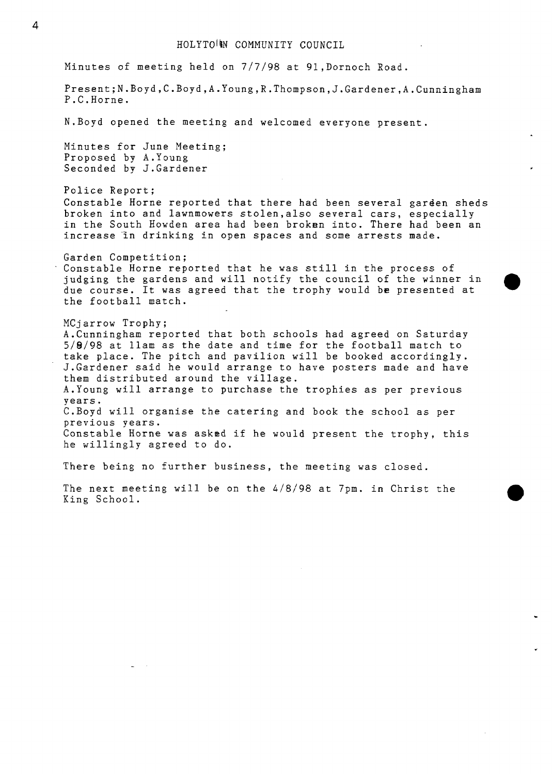Minutes of meeting held on *7/7/98* at 91,Dornoch Road.

**Present;N.Boyd,C.Boyd,A.Young,R.Thompson,J.Gardener,A.Cunningham**  P.C.Horne.

N.Boyd opened the meeting and welcomed everyone present.

Minutes for June Meeting; Proposed by A.Young Seconded by J.Gardener

Police Report; Constable Horne reported that there had been several garden sheds broken into and lawnmowers stolen,also several cars, especially in the South Howden area had been broken into. There had been an increase 'in drinking in open spaces and some arrests made.

Garden Competition; Constable Horne reported that he was still in the process of judging the gardens and will notify the council of the winner in due course. It was agreed that the trophy would be presented at the football match.

MCjarrow Trophy; A.Cunningham reported that both schools had agreed on Saturday *5/8/98* at llam as the date and time for the football match to take place. The pitch and pavilion will be booked accordingly. J.Gardener said he would arrange to have posters made and have them distributed around the village. A.Young will arrange to purchase the trophies as per previous years. C.Boyd will organise the catering and book the school as per previous years. Constable Horne was askad if he would present the trophy, this he willingly agreed to do.

There being no further business, the meeting was closed.

The next meeting will be on the *4/8/98* at 7pm. in Christ the King School.

..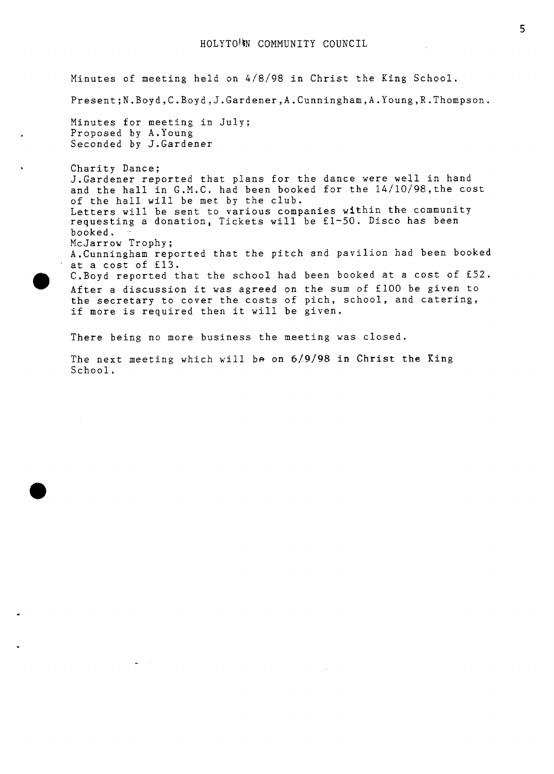Minutes of meeting held on 4/8/98 in Christ the King School. **Present;N.Boyd,C.Boyd,J.Gardener,A.Cunningham,A.Young,R.Thompson.**  Minutes for meeting in July; Proposed by A.Young Seconded by J.Gardener Charity Dance; J.Gardener reported that plans for the dance were well in hand and the hall in G.M.C. had been booked for the 14/10/98,the cost of the hall will be met by the club. Letters will be sent to various companies within the community requesting a donation, Tickets will be fl-50. Disco has been booked, . McJarrow Trophy; A.Cunningham reported that the pitch and pavilion had been booked at a cost of £13. C.Boyd reported that the school had been booked at a cost of €52. After a discussion it was agreed on the sum of **flOO** be given to the secretary to cover the costs of pich, school, and catering, if more is required then it will be given. Charit<br>
J.Gard<br>
and the<br>
of the<br>
Letter<br>
reques<br>
booked<br>
McJarr<br>
A.Cunn<br>
at a co<br>
C.Boyd<br>
After<br>
the se<br>
if mor

There being no more business the meeting was closed.

The next meeting which will be on **619198** in Christ the Ring School.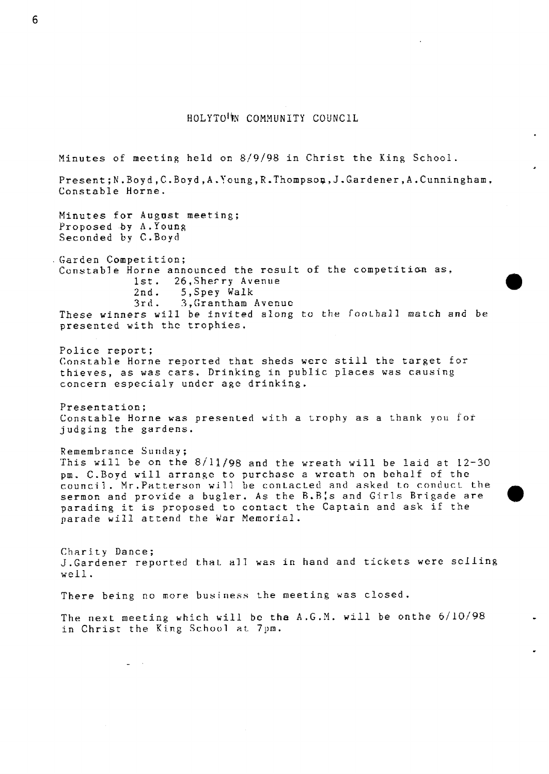## **HOLYTO'N COMMUNITY COUNCIL**

**Minutes** of meeting held on 8/9/98 in Christ the King School. **Present;N.Royd,C~.Boyd,A.~oung,R.Thompsop,J.G.ardener,A.Cunningham,**  Constable Horne. **Minutes for August** meeting; Proposed **by A.Young**  Seconded by **C.Boyd (;a** r d e n C **om pe** *t i* **t** <sup>i</sup>o ~t ; **Constable Horne announced the result of the competition as,<br>
1st. 26, Sherry Avenue<br>
2nd. 5, Spey Walk 2nd.** 5,Spey **Walk**  3rd. 3, Grantham Avenue **These** winners will **be** invited along to the fool.hall match **and be presented with** thc **trophies. Police** report; Constahle Horne reporred **that** sheds **were** still the target for **thieves,** a5 was cars. Drinking in public **places was** causing concern **especialy** under age drinking. **Presentation;**  Constable **Horne was** presented **wirh** a trophy **as** a thank you for judging **the** gardens. Remembrance Sunday; This will be on the 8/11/98 and **the** wreath will be laid at 12-30 **pm. C.Boyd** will **arrange** to purchase a wrcath on behalf of **the council.** Mr. Patterson will be contacted and asked to conduct the **sermon** and provide a **bugler. As** the R.R:s **and Girls Brigade** are parading it is proposed *to* contact the Captain and **ask** if the parade **will attend the** War **Memorial.**  Charity **Dance:**  J.Gardener reported t.haL a71 **was** in hand and tickets **were selling**  weil. There being no more business the meeting was closed. The next meeting which will be the A.G.M. will be onthe  $6/10/98$ in Christ the King School at 7pm.

*0* 

**6**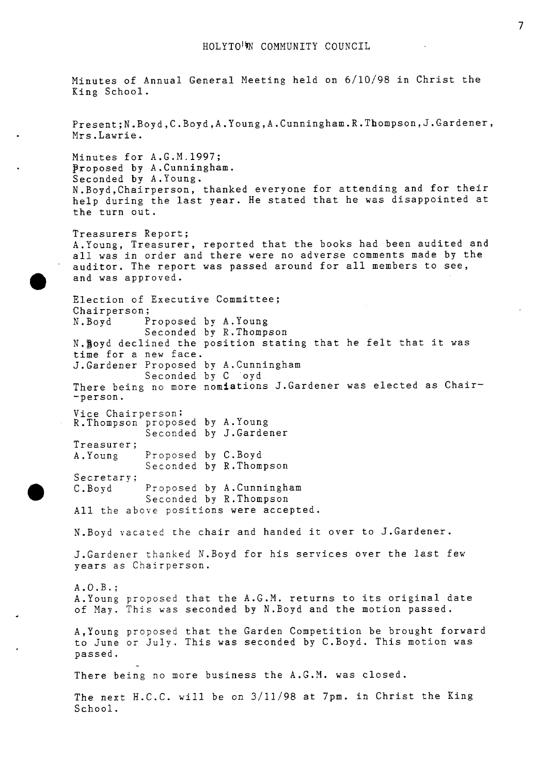Minutes of Annual General Meeting held on 6/10/98 in Christ the King School. Present;N.Boyd,C.Boyd,A.Young,A.Cunningham.R.Thompson,J.Gardener, Mrs.Lawrie. Minutes for A.G.M.1997; proposed by A.Cunningham. Seconded by A.Young. N.Boyd,Chairperson, thanked everyone for attending and for their help during the last year. He stated that he was disappointed at the turn out. Treasurers Report; A.Young, Treasurer, reported that the books had been audited and all was in order and there were no adverse comments made by the auditor. The report was passed around for all members to see, and was approved. Election of Executive Committee; Chairperson; **N.** Boyd Proposed by A.Young N.goyd declined the position stating that he felt that it was time for a new face. J.Gardener Proposed by A.Cunningham There being no more nomiations J.Gardener was elected as Chair--person. Vice Chairperson; R.Thompson proposed by A.Young Treasurer; A. Young Proposed by C.Boyd Secretary; Seconded by R.Thompson Seconded by C oyd Seconded by J.Gardener Seconded by R.Thompson *0* **C.Boyd** Proposed by A.Cunningham Seconded by R.Thompson All the above positions were accepted. N.Boyd vacated the chair and handed it over to J.Gardener. J.Gardener thanked N.Boyd for his services over the last few years as Chairperson. A.O.B.; A.Young proposed that the A.G.M. returns to its original date of May. This was seconded by N.Boyd and the motion passed. A,Young proposed that the Garden Competition be brought forward to June or July. This was seconded by C.Boyd. This motion was passed. There being no more business the A.G.M. was closed. - The next H.C.C. will be on 3/11/98 at 7pm. in Christ the King School.